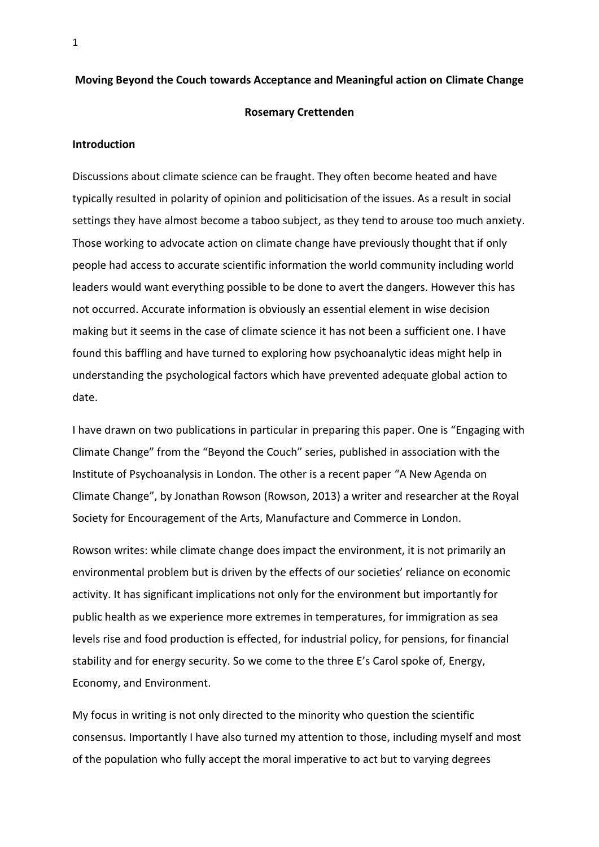#### **Moving Beyond the Couch towards Acceptance and Meaningful action on Climate Change**

# **Rosemary Crettenden**

# **Introduction**

Discussions about climate science can be fraught. They often become heated and have typically resulted in polarity of opinion and politicisation of the issues. As a result in social settings they have almost become a taboo subject, as they tend to arouse too much anxiety. Those working to advocate action on climate change have previously thought that if only people had access to accurate scientific information the world community including world leaders would want everything possible to be done to avert the dangers. However this has not occurred. Accurate information is obviously an essential element in wise decision making but it seems in the case of climate science it has not been a sufficient one. I have found this baffling and have turned to exploring how psychoanalytic ideas might help in understanding the psychological factors which have prevented adequate global action to date.

I have drawn on two publications in particular in preparing this paper. One is "Engaging with Climate Change" from the "Beyond the Couch" series, published in association with the Institute of Psychoanalysis in London. The other is a recent paper "A New Agenda on Climate Change", by Jonathan Rowson (Rowson, 2013) a writer and researcher at the Royal Society for Encouragement of the Arts, Manufacture and Commerce in London.

Rowson writes: while climate change does impact the environment, it is not primarily an environmental problem but is driven by the effects of our societies' reliance on economic activity. It has significant implications not only for the environment but importantly for public health as we experience more extremes in temperatures, for immigration as sea levels rise and food production is effected, for industrial policy, for pensions, for financial stability and for energy security. So we come to the three E's Carol spoke of, Energy, Economy, and Environment.

My focus in writing is not only directed to the minority who question the scientific consensus. Importantly I have also turned my attention to those, including myself and most of the population who fully accept the moral imperative to act but to varying degrees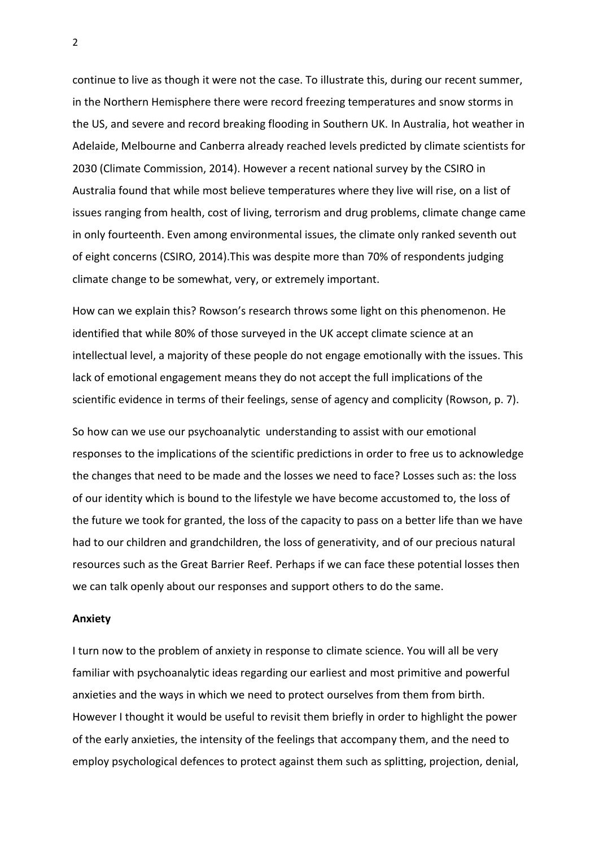continue to live as though it were not the case. To illustrate this, during our recent summer, in the Northern Hemisphere there were record freezing temperatures and snow storms in the US, and severe and record breaking flooding in Southern UK. In Australia, hot weather in Adelaide, Melbourne and Canberra already reached levels predicted by climate scientists for 2030 (Climate Commission, 2014). However a recent national survey by the CSIRO in Australia found that while most believe temperatures where they live will rise, on a list of issues ranging from health, cost of living, terrorism and drug problems, climate change came in only fourteenth. Even among environmental issues, the climate only ranked seventh out of eight concerns (CSIRO, 2014).This was despite more than 70% of respondents judging climate change to be somewhat, very, or extremely important.

How can we explain this? Rowson's research throws some light on this phenomenon. He identified that while 80% of those surveyed in the UK accept climate science at an intellectual level, a majority of these people do not engage emotionally with the issues. This lack of emotional engagement means they do not accept the full implications of the scientific evidence in terms of their feelings, sense of agency and complicity (Rowson, p. 7).

So how can we use our psychoanalytic understanding to assist with our emotional responses to the implications of the scientific predictions in order to free us to acknowledge the changes that need to be made and the losses we need to face? Losses such as: the loss of our identity which is bound to the lifestyle we have become accustomed to, the loss of the future we took for granted, the loss of the capacity to pass on a better life than we have had to our children and grandchildren, the loss of generativity, and of our precious natural resources such as the Great Barrier Reef. Perhaps if we can face these potential losses then we can talk openly about our responses and support others to do the same.

### **Anxiety**

I turn now to the problem of anxiety in response to climate science. You will all be very familiar with psychoanalytic ideas regarding our earliest and most primitive and powerful anxieties and the ways in which we need to protect ourselves from them from birth. However I thought it would be useful to revisit them briefly in order to highlight the power of the early anxieties, the intensity of the feelings that accompany them, and the need to employ psychological defences to protect against them such as splitting, projection, denial,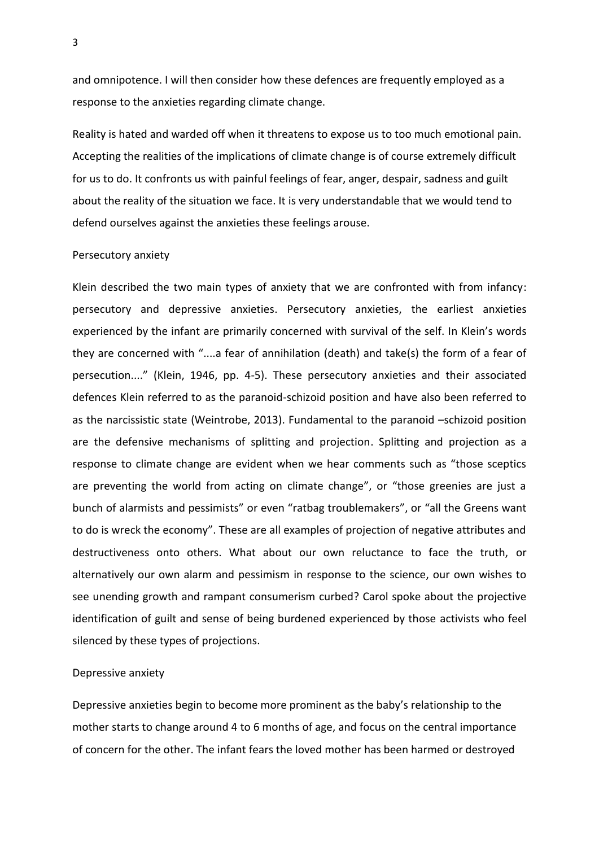and omnipotence. I will then consider how these defences are frequently employed as a response to the anxieties regarding climate change.

Reality is hated and warded off when it threatens to expose us to too much emotional pain. Accepting the realities of the implications of climate change is of course extremely difficult for us to do. It confronts us with painful feelings of fear, anger, despair, sadness and guilt about the reality of the situation we face. It is very understandable that we would tend to defend ourselves against the anxieties these feelings arouse.

#### Persecutory anxiety

Klein described the two main types of anxiety that we are confronted with from infancy: persecutory and depressive anxieties. Persecutory anxieties, the earliest anxieties experienced by the infant are primarily concerned with survival of the self. In Klein's words they are concerned with "....a fear of annihilation (death) and take(s) the form of a fear of persecution...." (Klein, 1946, pp. 4-5). These persecutory anxieties and their associated defences Klein referred to as the paranoid-schizoid position and have also been referred to as the narcissistic state (Weintrobe, 2013). Fundamental to the paranoid –schizoid position are the defensive mechanisms of splitting and projection. Splitting and projection as a response to climate change are evident when we hear comments such as "those sceptics are preventing the world from acting on climate change", or "those greenies are just a bunch of alarmists and pessimists" or even "ratbag troublemakers", or "all the Greens want to do is wreck the economy". These are all examples of projection of negative attributes and destructiveness onto others. What about our own reluctance to face the truth, or alternatively our own alarm and pessimism in response to the science, our own wishes to see unending growth and rampant consumerism curbed? Carol spoke about the projective identification of guilt and sense of being burdened experienced by those activists who feel silenced by these types of projections.

# Depressive anxiety

Depressive anxieties begin to become more prominent as the baby's relationship to the mother starts to change around 4 to 6 months of age, and focus on the central importance of concern for the other. The infant fears the loved mother has been harmed or destroyed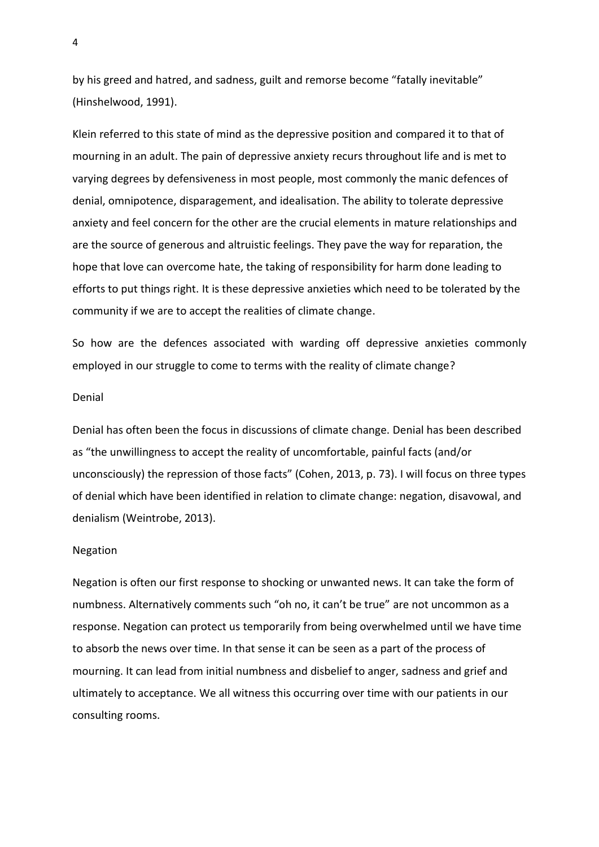by his greed and hatred, and sadness, guilt and remorse become "fatally inevitable" (Hinshelwood, 1991).

Klein referred to this state of mind as the depressive position and compared it to that of mourning in an adult. The pain of depressive anxiety recurs throughout life and is met to varying degrees by defensiveness in most people, most commonly the manic defences of denial, omnipotence, disparagement, and idealisation. The ability to tolerate depressive anxiety and feel concern for the other are the crucial elements in mature relationships and are the source of generous and altruistic feelings. They pave the way for reparation, the hope that love can overcome hate, the taking of responsibility for harm done leading to efforts to put things right. It is these depressive anxieties which need to be tolerated by the community if we are to accept the realities of climate change.

So how are the defences associated with warding off depressive anxieties commonly employed in our struggle to come to terms with the reality of climate change?

#### Denial

Denial has often been the focus in discussions of climate change. Denial has been described as "the unwillingness to accept the reality of uncomfortable, painful facts (and/or unconsciously) the repression of those facts" (Cohen, 2013, p. 73). I will focus on three types of denial which have been identified in relation to climate change: negation, disavowal, and denialism (Weintrobe, 2013).

### Negation

Negation is often our first response to shocking or unwanted news. It can take the form of numbness. Alternatively comments such "oh no, it can't be true" are not uncommon as a response. Negation can protect us temporarily from being overwhelmed until we have time to absorb the news over time. In that sense it can be seen as a part of the process of mourning. It can lead from initial numbness and disbelief to anger, sadness and grief and ultimately to acceptance. We all witness this occurring over time with our patients in our consulting rooms.

4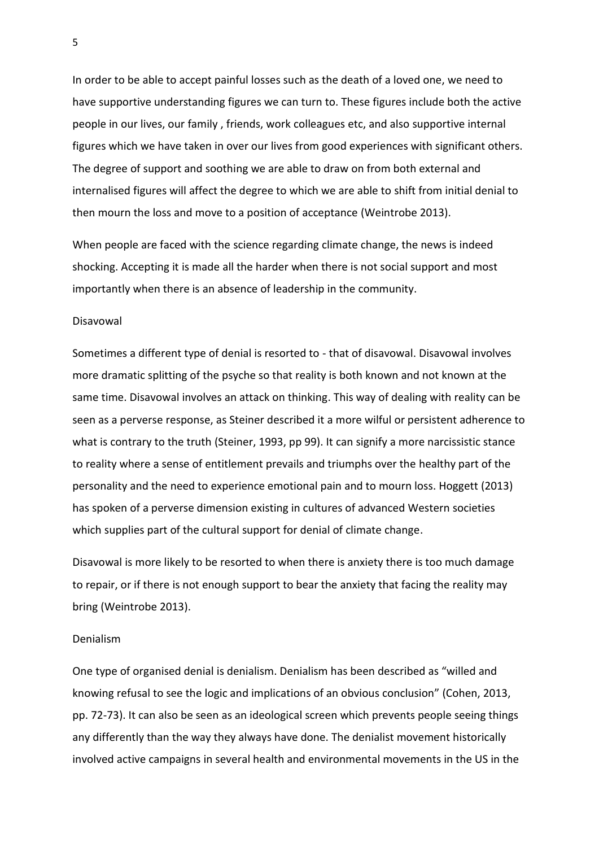In order to be able to accept painful losses such as the death of a loved one, we need to have supportive understanding figures we can turn to. These figures include both the active people in our lives, our family , friends, work colleagues etc, and also supportive internal figures which we have taken in over our lives from good experiences with significant others. The degree of support and soothing we are able to draw on from both external and internalised figures will affect the degree to which we are able to shift from initial denial to then mourn the loss and move to a position of acceptance (Weintrobe 2013).

When people are faced with the science regarding climate change, the news is indeed shocking. Accepting it is made all the harder when there is not social support and most importantly when there is an absence of leadership in the community.

#### Disavowal

Sometimes a different type of denial is resorted to - that of disavowal. Disavowal involves more dramatic splitting of the psyche so that reality is both known and not known at the same time. Disavowal involves an attack on thinking. This way of dealing with reality can be seen as a perverse response, as Steiner described it a more wilful or persistent adherence to what is contrary to the truth (Steiner, 1993, pp 99). It can signify a more narcissistic stance to reality where a sense of entitlement prevails and triumphs over the healthy part of the personality and the need to experience emotional pain and to mourn loss. Hoggett (2013) has spoken of a perverse dimension existing in cultures of advanced Western societies which supplies part of the cultural support for denial of climate change.

Disavowal is more likely to be resorted to when there is anxiety there is too much damage to repair, or if there is not enough support to bear the anxiety that facing the reality may bring (Weintrobe 2013).

# Denialism

One type of organised denial is denialism. Denialism has been described as "willed and knowing refusal to see the logic and implications of an obvious conclusion" (Cohen, 2013, pp. 72-73). It can also be seen as an ideological screen which prevents people seeing things any differently than the way they always have done. The denialist movement historically involved active campaigns in several health and environmental movements in the US in the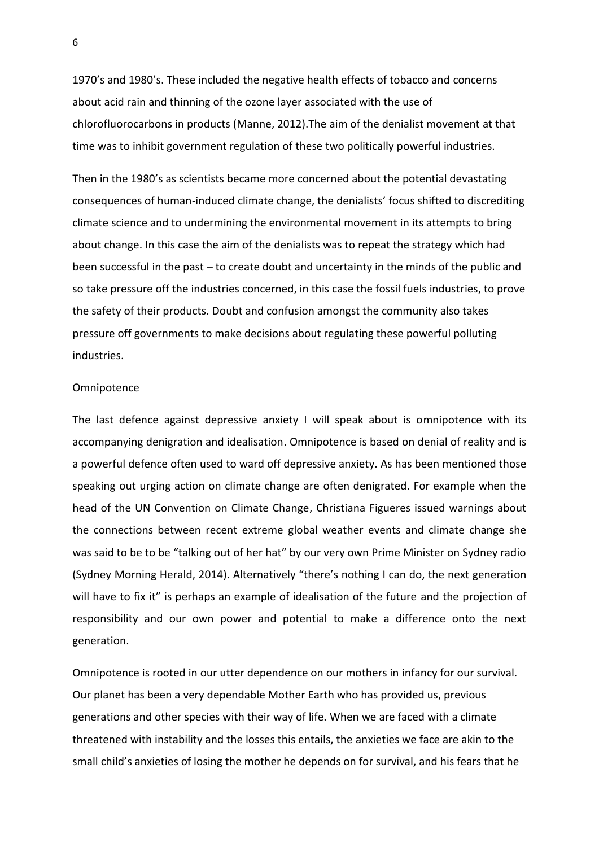1970's and 1980's. These included the negative health effects of tobacco and concerns about acid rain and thinning of the ozone layer associated with the use of chlorofluorocarbons in products (Manne, 2012).The aim of the denialist movement at that time was to inhibit government regulation of these two politically powerful industries.

Then in the 1980's as scientists became more concerned about the potential devastating consequences of human-induced climate change, the denialists' focus shifted to discrediting climate science and to undermining the environmental movement in its attempts to bring about change. In this case the aim of the denialists was to repeat the strategy which had been successful in the past – to create doubt and uncertainty in the minds of the public and so take pressure off the industries concerned, in this case the fossil fuels industries, to prove the safety of their products. Doubt and confusion amongst the community also takes pressure off governments to make decisions about regulating these powerful polluting industries.

### **Omnipotence**

The last defence against depressive anxiety I will speak about is omnipotence with its accompanying denigration and idealisation. Omnipotence is based on denial of reality and is a powerful defence often used to ward off depressive anxiety. As has been mentioned those speaking out urging action on climate change are often denigrated. For example when the head of the UN Convention on Climate Change, Christiana Figueres issued warnings about the connections between recent extreme global weather events and climate change she was said to be to be "talking out of her hat" by our very own Prime Minister on Sydney radio (Sydney Morning Herald, 2014). Alternatively "there's nothing I can do, the next generation will have to fix it" is perhaps an example of idealisation of the future and the projection of responsibility and our own power and potential to make a difference onto the next generation.

Omnipotence is rooted in our utter dependence on our mothers in infancy for our survival. Our planet has been a very dependable Mother Earth who has provided us, previous generations and other species with their way of life. When we are faced with a climate threatened with instability and the losses this entails, the anxieties we face are akin to the small child's anxieties of losing the mother he depends on for survival, and his fears that he

6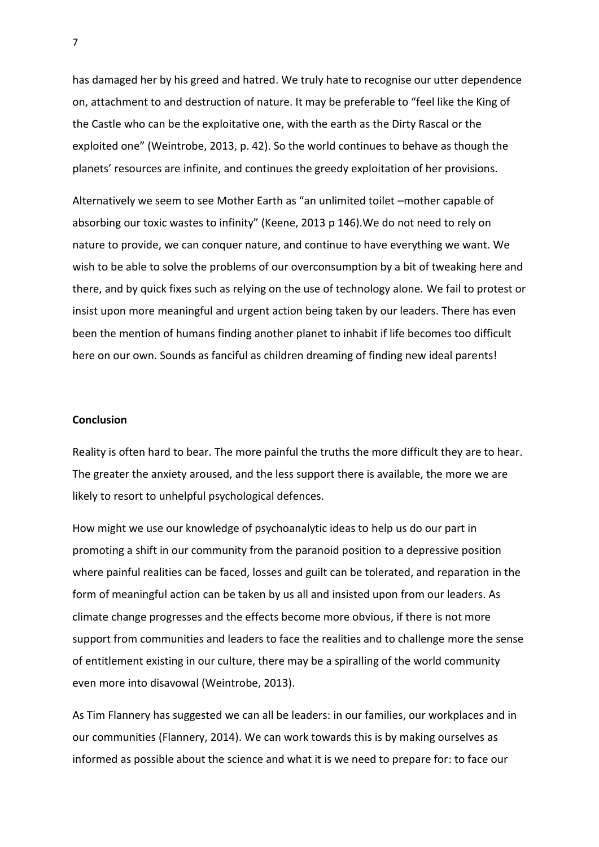has damaged her by his greed and hatred. We truly hate to recognise our utter dependence on, attachment to and destruction of nature. It may be preferable to "feel like the King of the Castle who can be the exploitative one, with the earth as the Dirty Rascal or the exploited one" (Weintrobe, 2013, p. 42). So the world continues to behave as though the planets' resources are infinite, and continues the greedy exploitation of her provisions.

Alternatively we seem to see Mother Earth as "an unlimited toilet –mother capable of absorbing our toxic wastes to infinity" (Keene, 2013 p 146).We do not need to rely on nature to provide, we can conquer nature, and continue to have everything we want. We wish to be able to solve the problems of our overconsumption by a bit of tweaking here and there, and by quick fixes such as relying on the use of technology alone. We fail to protest or insist upon more meaningful and urgent action being taken by our leaders. There has even been the mention of humans finding another planet to inhabit if life becomes too difficult here on our own. Sounds as fanciful as children dreaming of finding new ideal parents!

# **Conclusion**

Reality is often hard to bear. The more painful the truths the more difficult they are to hear. The greater the anxiety aroused, and the less support there is available, the more we are likely to resort to unhelpful psychological defences.

How might we use our knowledge of psychoanalytic ideas to help us do our part in promoting a shift in our community from the paranoid position to a depressive position where painful realities can be faced, losses and guilt can be tolerated, and reparation in the form of meaningful action can be taken by us all and insisted upon from our leaders. As climate change progresses and the effects become more obvious, if there is not more support from communities and leaders to face the realities and to challenge more the sense of entitlement existing in our culture, there may be a spiralling of the world community even more into disavowal (Weintrobe, 2013).

As Tim Flannery has suggested we can all be leaders: in our families, our workplaces and in our communities (Flannery, 2014). We can work towards this is by making ourselves as informed as possible about the science and what it is we need to prepare for: to face our

7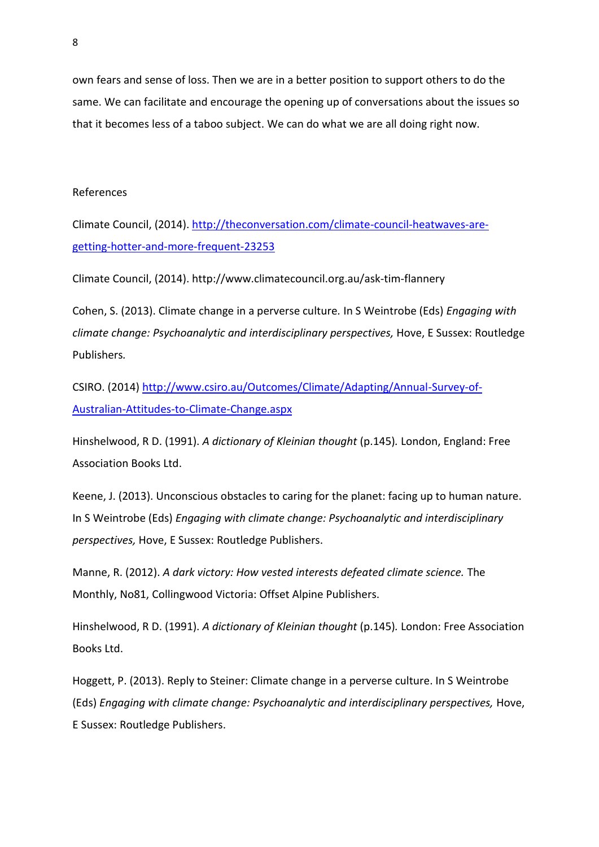own fears and sense of loss. Then we are in a better position to support others to do the same. We can facilitate and encourage the opening up of conversations about the issues so that it becomes less of a taboo subject. We can do what we are all doing right now.

# References

Climate Council, (2014). [http://theconversation.com/climate-council-heatwaves-are](http://theconversation.com/climate-council-heatwaves-are-getting-hotter-and-more-frequent-23253)[getting-hotter-and-more-frequent-23253](http://theconversation.com/climate-council-heatwaves-are-getting-hotter-and-more-frequent-23253)

Climate Council, (2014). http://www.climatecouncil.org.au/ask-tim-flannery

Cohen, S. (2013). Climate change in a perverse culture*.* In S Weintrobe (Eds) *Engaging with climate change: Psychoanalytic and interdisciplinary perspectives,* Hove, E Sussex: Routledge Publishers*.*

CSIRO. (2014) [http://www.csiro.au/Outcomes/Climate/Adapting/Annual-Survey-of-](http://www.csiro.au/Outcomes/Climate/Adapting/Annual-Survey-of-Australian-Attitudes-to-Climate-Change.aspx)[Australian-Attitudes-to-Climate-Change.aspx](http://www.csiro.au/Outcomes/Climate/Adapting/Annual-Survey-of-Australian-Attitudes-to-Climate-Change.aspx)

Hinshelwood, R D. (1991). *A dictionary of Kleinian thought* (p.145)*.* London, England: Free Association Books Ltd.

Keene, J. (2013). Unconscious obstacles to caring for the planet: facing up to human nature. In S Weintrobe (Eds) *Engaging with climate change: Psychoanalytic and interdisciplinary perspectives,* Hove, E Sussex: Routledge Publishers.

Manne, R. (2012). *A dark victory: How vested interests defeated climate science.* The Monthly, No81, Collingwood Victoria: Offset Alpine Publishers.

Hinshelwood, R D. (1991). *A dictionary of Kleinian thought* (p.145)*.* London: Free Association Books Ltd.

Hoggett, P. (2013). Reply to Steiner: Climate change in a perverse culture. In S Weintrobe (Eds) *Engaging with climate change: Psychoanalytic and interdisciplinary perspectives,* Hove, E Sussex: Routledge Publishers.